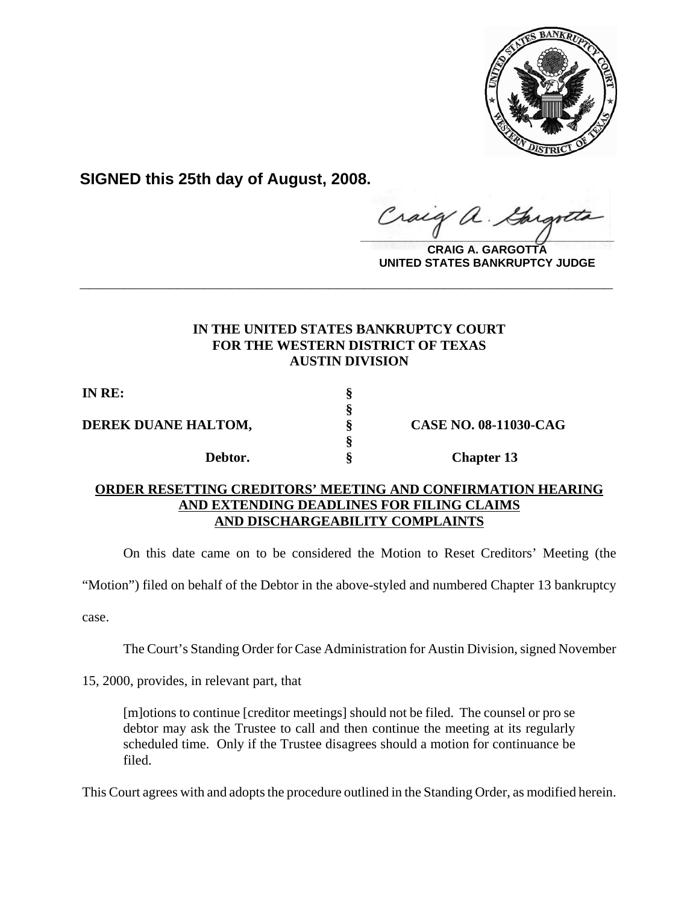

**SIGNED this 25th day of August, 2008.**

**\_\_\_\_\_\_\_\_\_\_\_\_\_\_\_\_\_\_\_\_\_\_\_\_\_\_\_\_\_\_\_\_\_\_\_\_\_\_\_\_**  $\hat{\mu}$ .

**CRAIG A. GARGOTTA UNITED STATES BANKRUPTCY JUDGE**

## **IN THE UNITED STATES BANKRUPTCY COURT FOR THE WESTERN DISTRICT OF TEXAS AUSTIN DIVISION**

**\_\_\_\_\_\_\_\_\_\_\_\_\_\_\_\_\_\_\_\_\_\_\_\_\_\_\_\_\_\_\_\_\_\_\_\_\_\_\_\_\_\_\_\_\_\_\_\_\_\_\_\_\_\_\_\_\_\_\_\_**

**§**

**§**

**IN RE: §**

**DEREK DUANE HALTOM, § CASE NO. 08-11030-CAG**

**Debtor.** § Chapter 13

## **ORDER RESETTING CREDITORS' MEETING AND CONFIRMATION HEARING AND EXTENDING DEADLINES FOR FILING CLAIMS AND DISCHARGEABILITY COMPLAINTS**

On this date came on to be considered the Motion to Reset Creditors' Meeting (the

"Motion") filed on behalf of the Debtor in the above-styled and numbered Chapter 13 bankruptcy

case.

The Court's Standing Order for Case Administration for Austin Division, signed November

15, 2000, provides, in relevant part, that

[m]otions to continue [creditor meetings] should not be filed. The counsel or pro se debtor may ask the Trustee to call and then continue the meeting at its regularly scheduled time. Only if the Trustee disagrees should a motion for continuance be filed.

This Court agrees with and adopts the procedure outlined in the Standing Order, as modified herein.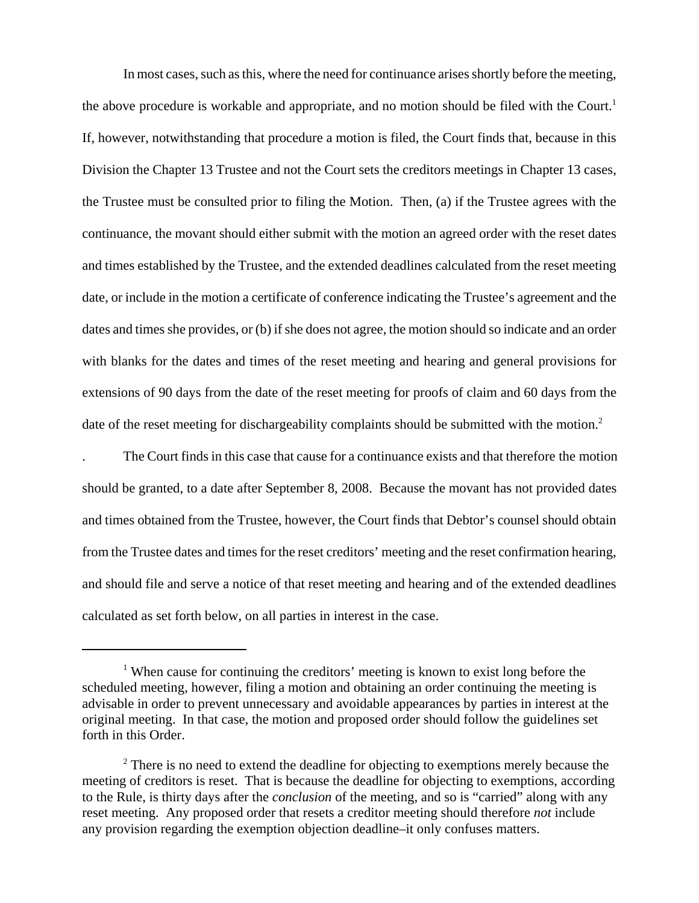In most cases, such as this, where the need for continuance arises shortly before the meeting, the above procedure is workable and appropriate, and no motion should be filed with the Court.<sup>1</sup> If, however, notwithstanding that procedure a motion is filed, the Court finds that, because in this Division the Chapter 13 Trustee and not the Court sets the creditors meetings in Chapter 13 cases, the Trustee must be consulted prior to filing the Motion. Then, (a) if the Trustee agrees with the continuance, the movant should either submit with the motion an agreed order with the reset dates and times established by the Trustee, and the extended deadlines calculated from the reset meeting date, or include in the motion a certificate of conference indicating the Trustee's agreement and the dates and times she provides, or (b) if she does not agree, the motion should so indicate and an order with blanks for the dates and times of the reset meeting and hearing and general provisions for extensions of 90 days from the date of the reset meeting for proofs of claim and 60 days from the date of the reset meeting for dischargeability complaints should be submitted with the motion.<sup>2</sup>

. The Court finds in this case that cause for a continuance exists and that therefore the motion should be granted, to a date after September 8, 2008. Because the movant has not provided dates and times obtained from the Trustee, however, the Court finds that Debtor's counsel should obtain from the Trustee dates and times for the reset creditors' meeting and the reset confirmation hearing, and should file and serve a notice of that reset meeting and hearing and of the extended deadlines calculated as set forth below, on all parties in interest in the case.

<sup>&</sup>lt;sup>1</sup> When cause for continuing the creditors' meeting is known to exist long before the scheduled meeting, however, filing a motion and obtaining an order continuing the meeting is advisable in order to prevent unnecessary and avoidable appearances by parties in interest at the original meeting. In that case, the motion and proposed order should follow the guidelines set forth in this Order.

 $2^2$  There is no need to extend the deadline for objecting to exemptions merely because the meeting of creditors is reset. That is because the deadline for objecting to exemptions, according to the Rule, is thirty days after the *conclusion* of the meeting, and so is "carried" along with any reset meeting. Any proposed order that resets a creditor meeting should therefore *not* include any provision regarding the exemption objection deadline–it only confuses matters.